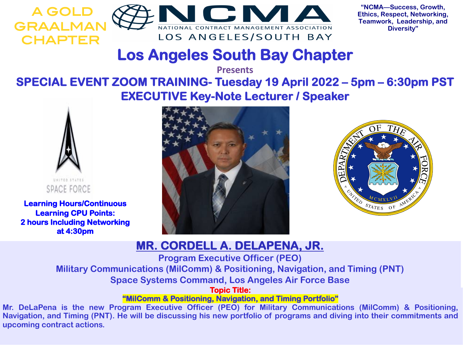



**"NCMA—Success, Growth, Ethics, Respect, Networking, Teamwork, Leadership, and Diversity"**

# **Los Angeles South Bay Chapter**

**Presents**

### **SPECIAL EVENT ZOOM TRAINING- Tuesday 19 April 2022 – 5pm – 6:30pm PST EXECUTIVE Key-Note Lecturer / Speaker**



**Learning Hours/Continuous Learning CPU Points: 2 hours Including Networking at 4:30pm**





### **MR. CORDELL A. DELAPENA, JR.**

**Program Executive Officer (PEO)**

**Military Communications (MilComm) & Positioning, Navigation, and Timing (PNT)**

**Space Systems Command, Los Angeles Air Force Base**

**Topic Title:**

**"MilComm & Positioning, Navigation, and Timing Portfolio"**

**Mr. DeLaPena is the new Program Executive Officer (PEO) for Military Communications (MilComm) & Positioning,** Navigation, and Timing (PNT). He will be discussing his new portfolio of programs and diving into their commitments and **upcoming contract actions.**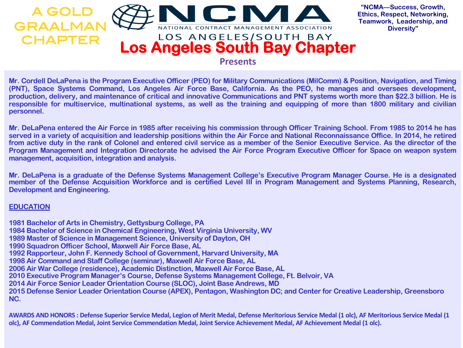

**"NCMA—Success, Growth, Ethics, Respect, Networking, Teamwork, Leadership, and Diversity"**

Mr. Cordell DeLaPena is the Program Executive Officer (PEO) for Military Communications (MilComm) & Position, Navigation, and Timing (PNT), Space Systems Command, Los Angeles Air Force Base, California. As the PEO, he manages and oversees development, production, delivery, and maintenance of critical and innovative Communications and PNT systems worth more than \$22.3 billion. He is responsible for multiservice, multinational systems, as well as the training and equipping of more than 1800 military and civilian **personnel.**

Mr. DeLaPena entered the Air Force in 1985 after receiving his commission through Officer Training School. From 1985 to 2014 he has served in a variety of acquisition and leadership positions within the Air Force and National Reconnaissance Office. In 2014, he retired from active duty in the rank of Colonel and entered civil service as a member of the Senior Executive Service. As the director of the Program Management and Integration Directorate he advised the Air Force Program Executive Officer for Space on weapon system **management, acquisition, integration and analysis.**

Mr. DeLaPena is a graduate of the Defense Systems Management College's Executive Program Manager Course. He is a designated member of the Defense Acquisition Workforce and is certified Level III in Program Management and Systems Planning, Research, **Development and Engineering.**

#### **EDUCATION**

**1981 Bachelor of Arts in Chemistry, Gettysburg College, PA 1984 Bachelor of Science in Chemical Engineering, West Virginia University, WV 1989 Master of Science in Management Science, University of Dayton, OH 1990 Squadron Officer School, Maxwell Air Force Base, AL 1992 Rapporteur, John F. Kennedy School of Government, Harvard University, MA 1998 Air Command and Staff College (seminar), Maxwell Air Force Base, AL 2006 Air War College (residence), Academic Distinction, Maxwell Air Force Base, AL 2010 Executive Program Manager's Course, Defense Systems Management College, Ft. Belvoir, VA 2014 Air Force Senior Leader Orientation Course (SLOC), Joint Base Andrews, MD 2015 Defense Senior Leader Orientation Course (APEX), Pentagon, Washington DC; and Center for Creative Leadership, Greensboro NC.**

**AWARDS AND HONORS : Defense Superior Service Medal, Legion of Merit Medal, Defense Meritorious Service Medal (1 olc), AF Meritorious Service Medal (1 olc), AF Commendation Medal, Joint Service Commendation Medal, Joint Service Achievement Medal, AF Achievement Medal (1 olc).**